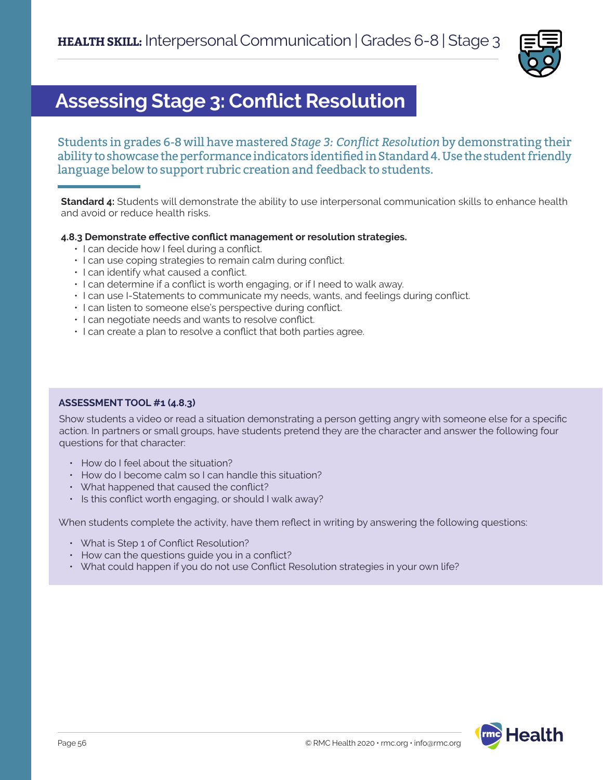

# **Assessing Stage 3: Conflict Resolution**

Students in grades 6-8 will have mastered *Stage 3: Conflict Resolution* by demonstrating their ability to showcase the performance indicators identified in Standard 4. Use the student friendly language below to support rubric creation and feedback to students.

**Standard 4:** Students will demonstrate the ability to use interpersonal communication skills to enhance health and avoid or reduce health risks.

### **4.8.3 Demonstrate effective conflict management or resolution strategies.**

- I can decide how I feel during a conflict.
- I can use coping strategies to remain calm during conflict.
- I can identify what caused a conflict.
- I can determine if a conflict is worth engaging, or if I need to walk away.
- I can use I-Statements to communicate my needs, wants, and feelings during conflict.
- I can listen to someone else's perspective during conflict.
- I can negotiate needs and wants to resolve conflict.
- I can create a plan to resolve a conflict that both parties agree.

### **ASSESSMENT TOOL #1 (4.8.3)**

Show students a video or read a situation demonstrating a person getting angry with someone else for a specific action. In partners or small groups, have students pretend they are the character and answer the following four questions for that character:

- How do I feel about the situation?
- How do I become calm so I can handle this situation?
- What happened that caused the conflict?
- Is this conflict worth engaging, or should I walk away?

When students complete the activity, have them reflect in writing by answering the following questions:

- What is Step 1 of Conflict Resolution?
- How can the questions guide you in a conflict?
- What could happen if you do not use Conflict Resolution strategies in your own life?

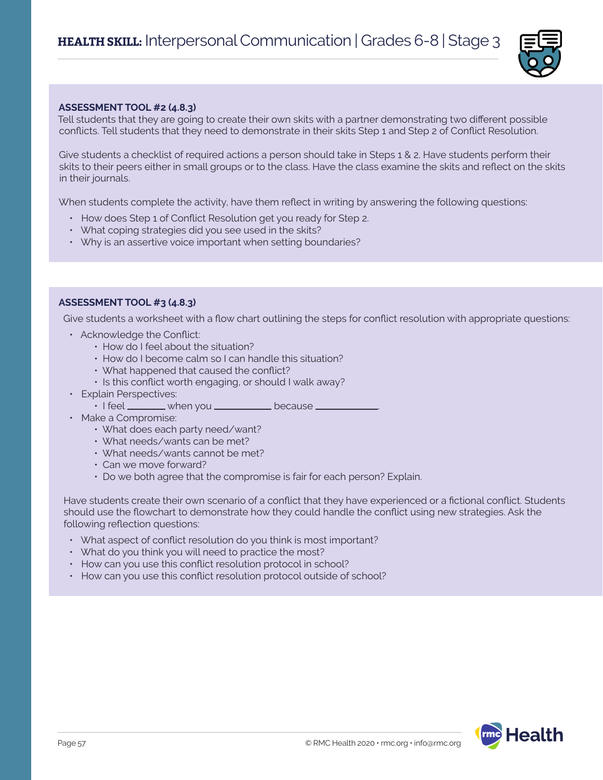

#### **ASSESSMENT TOOL #2 (4.8.3)**

Tell students that they are going to create their own skits with a partner demonstrating two different possible conflicts. Tell students that they need to demonstrate in their skits Step 1 and Step 2 of Conflict Resolution.

Give students a checklist of required actions a person should take in Steps 1 & 2. Have students perform their skits to their peers either in small groups or to the class. Have the class examine the skits and reflect on the skits in their journals.

When students complete the activity, have them reflect in writing by answering the following questions:

- How does Step 1 of Conflict Resolution get you ready for Step 2.
- What coping strategies did you see used in the skits?
- Why is an assertive voice important when setting boundaries?

#### **ASSESSMENT TOOL #3 (4.8.3)**

Give students a worksheet with a flow chart outlining the steps for conflict resolution with appropriate questions:

- Acknowledge the Conflict:
	- How do I feel about the situation?
	- How do I become calm so I can handle this situation?
	- What happened that caused the conflict?
	- Is this conflict worth engaging, or should I walk away?
- Explain Perspectives:
	- $\cdot$  I feel  $\_\_\_\_$  when you  $\_\_\_\_\_\_\_\$  because  $\_\$
- Make a Compromise:
	- What does each party need/want?
	- What needs/wants can be met?
	- What needs/wants cannot be met?
	- Can we move forward?
	- Do we both agree that the compromise is fair for each person? Explain.

Have students create their own scenario of a conflict that they have experienced or a fictional conflict. Students should use the flowchart to demonstrate how they could handle the conflict using new strategies. Ask the following reflection questions:

- What aspect of conflict resolution do you think is most important?
- What do you think you will need to practice the most?
- How can you use this conflict resolution protocol in school?
- How can you use this conflict resolution protocol outside of school?

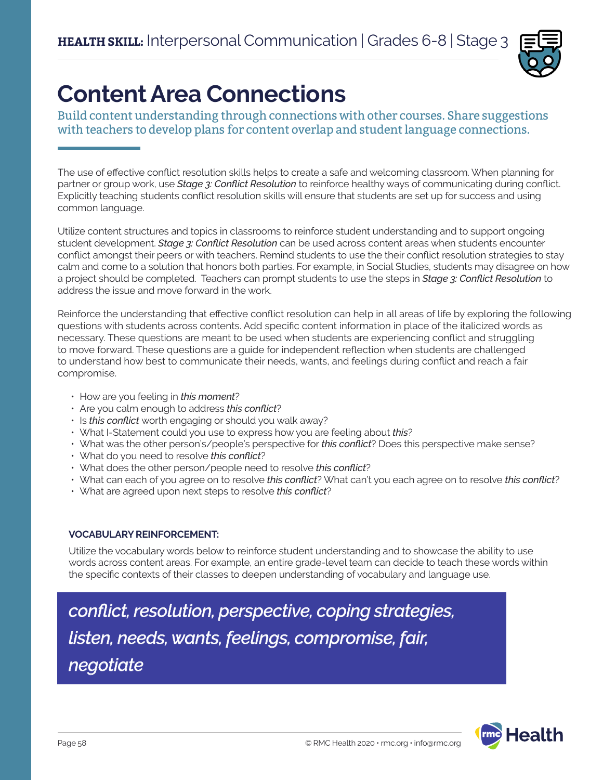

# **Content Area Connections**

Build content understanding through connections with other courses. Share suggestions with teachers to develop plans for content overlap and student language connections.

The use of effective conflict resolution skills helps to create a safe and welcoming classroom. When planning for partner or group work, use *Stage 3: Conflict Resolution* to reinforce healthy ways of communicating during conflict. Explicitly teaching students conflict resolution skills will ensure that students are set up for success and using common language.

Utilize content structures and topics in classrooms to reinforce student understanding and to support ongoing student development. *Stage 3: Conflict Resolution* can be used across content areas when students encounter conflict amongst their peers or with teachers. Remind students to use the their conflict resolution strategies to stay calm and come to a solution that honors both parties. For example, in Social Studies, students may disagree on how a project should be completed. Teachers can prompt students to use the steps in *Stage 3: Conflict Resolution* to address the issue and move forward in the work.

Reinforce the understanding that effective conflict resolution can help in all areas of life by exploring the following questions with students across contents. Add specific content information in place of the italicized words as necessary. These questions are meant to be used when students are experiencing conflict and struggling to move forward. These questions are a guide for independent reflection when students are challenged to understand how best to communicate their needs, wants, and feelings during conflict and reach a fair compromise.

- How are you feeling in *this moment*?
- Are you calm enough to address *this conflict*?
- Is *this conflict* worth engaging or should you walk away?
- What I-Statement could you use to express how you are feeling about *this*?
- What was the other person's/people's perspective for *this conflict*? Does this perspective make sense?
- What do you need to resolve *this conflict*?
- What does the other person/people need to resolve *this conflict*?
- What can each of you agree on to resolve *this conflict*? What can't you each agree on to resolve *this conflict*?
- What are agreed upon next steps to resolve *this conflict*?

# **VOCABULARY REINFORCEMENT:**

Utilize the vocabulary words below to reinforce student understanding and to showcase the ability to use words across content areas. For example, an entire grade-level team can decide to teach these words within the specific contexts of their classes to deepen understanding of vocabulary and language use.

*conflict, resolution, perspective, coping strategies, listen, needs, wants, feelings, compromise, fair, negotiate*